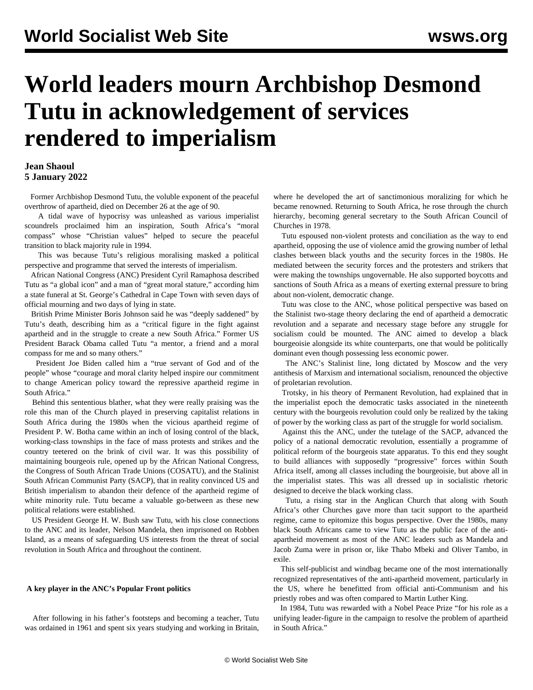# **World leaders mourn Archbishop Desmond Tutu in acknowledgement of services rendered to imperialism**

### **Jean Shaoul 5 January 2022**

 Former Archbishop Desmond Tutu, the voluble exponent of the peaceful overthrow of apartheid, died on December 26 at the age of 90.

 A tidal wave of hypocrisy was unleashed as various imperialist scoundrels proclaimed him an inspiration, South Africa's "moral compass" whose "Christian values" helped to secure the peaceful transition to black majority rule in 1994.

 This was because Tutu's religious moralising masked a political perspective and programme that served the interests of imperialism.

 African National Congress (ANC) President Cyril Ramaphosa described Tutu as "a global icon" and a man of "great moral stature," according him a state funeral at St. George's Cathedral in Cape Town with seven days of official mourning and two days of lying in state.

 British Prime Minister Boris Johnson said he was "deeply saddened" by Tutu's death, describing him as a "critical figure in the fight against apartheid and in the struggle to create a new South Africa." Former US President Barack Obama called Tutu "a mentor, a friend and a moral compass for me and so many others."

 President Joe Biden called him a "true servant of God and of the people" whose "courage and moral clarity helped inspire our commitment to change American policy toward the repressive apartheid regime in South Africa."

 Behind this sententious blather, what they were really praising was the role this man of the Church played in preserving capitalist relations in South Africa during the 1980s when the vicious apartheid regime of President P. W. Botha came within an inch of losing control of the black, working-class townships in the face of mass protests and strikes and the country teetered on the brink of civil war. It was this possibility of maintaining bourgeois rule, opened up by the African National Congress, the Congress of South African Trade Unions (COSATU), and the Stalinist South African Communist Party (SACP), that in reality convinced US and British imperialism to abandon their defence of the apartheid regime of white minority rule. Tutu became a valuable go-between as these new political relations were established.

 US President George H. W. Bush saw Tutu, with his close connections to the ANC and its leader, Nelson Mandela, then imprisoned on Robben Island, as a means of safeguarding US interests from the threat of social revolution in South Africa and throughout the continent.

#### **A key player in the ANC's Popular Front politics**

 After following in his father's footsteps and becoming a teacher, Tutu was ordained in 1961 and spent six years studying and working in Britain, where he developed the art of sanctimonious moralizing for which he became renowned. Returning to South Africa, he rose through the church hierarchy, becoming general secretary to the South African Council of Churches in 1978.

 Tutu espoused non-violent protests and conciliation as the way to end apartheid, opposing the use of violence amid the growing number of lethal clashes between black youths and the security forces in the 1980s. He mediated between the security forces and the protesters and strikers that were making the townships ungovernable. He also supported boycotts and sanctions of South Africa as a means of exerting external pressure to bring about non-violent, democratic change.

 Tutu was close to the ANC, whose political perspective was based on the Stalinist two-stage theory declaring the end of apartheid a democratic revolution and a separate and necessary stage before any struggle for socialism could be mounted. The ANC aimed to develop a black bourgeoisie alongside its white counterparts, one that would be politically dominant even though possessing less economic power.

 The ANC's Stalinist line, long dictated by Moscow and the very antithesis of Marxism and international socialism, renounced the objective of proletarian revolution.

 Trotsky, in his theory of Permanent Revolution, had explained that in the imperialist epoch the democratic tasks associated in the nineteenth century with the bourgeois revolution could only be realized by the taking of power by the working class as part of the struggle for world socialism.

 Against this the ANC, under the tutelage of the SACP, advanced the policy of a national democratic revolution, essentially a programme of political reform of the bourgeois state apparatus. To this end they sought to build alliances with supposedly "progressive" forces within South Africa itself, among all classes including the bourgeoisie, but above all in the imperialist states. This was all dressed up in socialistic rhetoric designed to deceive the black working class.

 Tutu, a rising star in the Anglican Church that along with South Africa's other Churches gave more than tacit support to the apartheid regime, came to epitomize this bogus perspective. Over the 1980s, many black South Africans came to view Tutu as the public face of the antiapartheid movement as most of the ANC leaders such as Mandela and Jacob Zuma were in prison or, like Thabo Mbeki and Oliver Tambo, in exile.

 This self-publicist and windbag became one of the most internationally recognized representatives of the anti-apartheid movement, particularly in the US, where he benefitted from official anti-Communism and his priestly robes and was often compared to Martin Luther King.

 In 1984, Tutu was rewarded with a Nobel Peace Prize "for his role as a unifying leader-figure in the campaign to resolve the problem of apartheid in South Africa."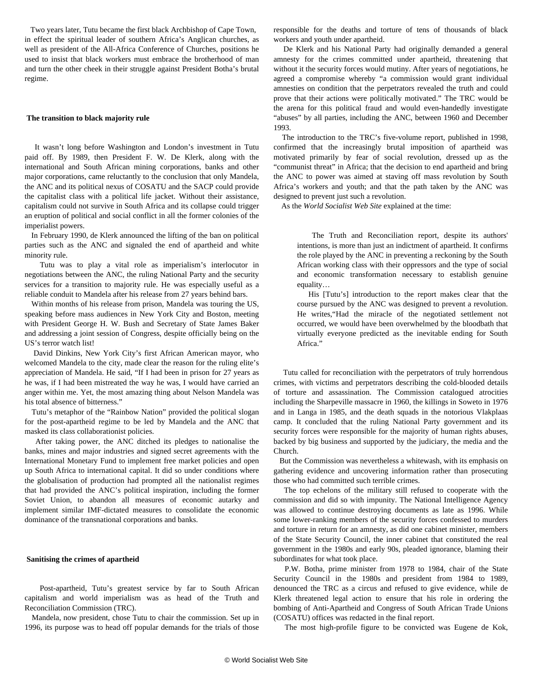Two years later, Tutu became the first black Archbishop of Cape Town, in effect the spiritual leader of southern Africa's Anglican churches, as well as president of the All-Africa Conference of Churches, positions he used to insist that black workers must embrace the brotherhood of man and turn the other cheek in their struggle against President Botha's brutal regime.

#### **The transition to black majority rule**

 It wasn't long before Washington and London's investment in Tutu paid off. By 1989, then President F. W. De Klerk, along with the international and South African mining corporations, banks and other major corporations, came reluctantly to the conclusion that only Mandela, the ANC and its political nexus of COSATU and the SACP could provide the capitalist class with a political life jacket. Without their assistance, capitalism could not survive in South Africa and its collapse could trigger an eruption of political and social conflict in all the former colonies of the imperialist powers.

 In February 1990, de Klerk announced the lifting of the ban on political parties such as the ANC and signaled the end of apartheid and white minority rule.

 Tutu was to play a vital role as imperialism's interlocutor in negotiations between the ANC, the ruling National Party and the security services for a transition to majority rule. He was especially useful as a reliable conduit to Mandela after his release from 27 years behind bars.

 Within months of his release from prison, Mandela was touring the US, speaking before mass audiences in New York City and Boston, meeting with President George H. W. Bush and Secretary of State James Baker and addressing a joint session of Congress, despite officially being on the US's terror watch list!

 David Dinkins, New York City's first African American mayor, who welcomed Mandela to the city, made clear the reason for the ruling elite's appreciation of Mandela. He said, "If I had been in prison for 27 years as he was, if I had been mistreated the way he was, I would have carried an anger within me. Yet, the most amazing thing about Nelson Mandela was his total absence of bitterness."

 Tutu's metaphor of the "Rainbow Nation" provided the political slogan for the post-apartheid regime to be led by Mandela and the ANC that masked its class collaborationist policies.

 After taking power, the ANC ditched its pledges to nationalise the banks, mines and major industries and signed secret agreements with the International Monetary Fund to implement free market policies and open up South Africa to international capital. It did so under conditions where the globalisation of production had prompted all the nationalist regimes that had provided the ANC's political inspiration, including the former Soviet Union, to abandon all measures of economic autarky and implement similar IMF-dictated measures to consolidate the economic dominance of the transnational corporations and banks.

#### **Sanitising the crimes of apartheid**

 Post-apartheid, Tutu's greatest service by far to South African capitalism and world imperialism was as head of the Truth and Reconciliation Commission (TRC).

 Mandela, now president, chose Tutu to chair the commission. Set up in 1996, its purpose was to head off popular demands for the trials of those responsible for the deaths and torture of tens of thousands of black workers and youth under apartheid.

 De Klerk and his National Party had originally demanded a general amnesty for the crimes committed under apartheid, threatening that without it the security forces would mutiny. After years of negotiations, he agreed a compromise whereby "a commission would grant individual amnesties on condition that the perpetrators revealed the truth and could prove that their actions were politically motivated." The TRC would be the arena for this political fraud and would even-handedly investigate "abuses" by all parties, including the ANC, between 1960 and December 1993.

 The introduction to the TRC's five-volume report, published in 1998, confirmed that the increasingly brutal imposition of apartheid was motivated primarily by fear of social revolution, dressed up as the "communist threat" in Africa; that the decision to end apartheid and bring the ANC to power was aimed at staving off mass revolution by South Africa's workers and youth; and that the path taken by the ANC was designed to prevent just such a revolution.

As the *World Socialist Web Site* explained at the time:

 The Truth and Reconciliation report, despite its authors' intentions, is more than just an indictment of apartheid. It confirms the role played by the ANC in preventing a reckoning by the South African working class with their oppressors and the type of social and economic transformation necessary to establish genuine equality…

 His [Tutu's] introduction to the report makes clear that the course pursued by the ANC was designed to prevent a revolution. He writes,"Had the miracle of the negotiated settlement not occurred, we would have been overwhelmed by the bloodbath that virtually everyone predicted as the inevitable ending for South Africa."

 Tutu called for reconciliation with the perpetrators of truly horrendous crimes, with victims and perpetrators describing the cold-blooded details of torture and assassination. The Commission catalogued atrocities including the Sharpeville massacre in 1960, the killings in Soweto in 1976 and in Langa in 1985, and the death squads in the notorious Vlakplaas camp. It concluded that the ruling National Party government and its security forces were responsible for the majority of human rights abuses, backed by big business and supported by the judiciary, the media and the Church.

 But the Commission was nevertheless a whitewash, with its emphasis on gathering evidence and uncovering information rather than prosecuting those who had committed such terrible crimes.

 The top echelons of the military still refused to cooperate with the commission and did so with impunity. The National Intelligence Agency was allowed to continue destroying documents as late as 1996. While some lower-ranking members of the security forces confessed to murders and torture in return for an amnesty, as did one cabinet minister, members of the State Security Council, the inner cabinet that constituted the real government in the 1980s and early 90s, pleaded ignorance, blaming their subordinates for what took place.

 P.W. Botha, prime minister from 1978 to 1984, chair of the State Security Council in the 1980s and president from 1984 to 1989, denounced the TRC as a circus and refused to give evidence, while de Klerk threatened legal action to ensure that his role in ordering the bombing of Anti-Apartheid and Congress of South African Trade Unions (COSATU) offices was redacted in the final report.

The most high-profile figure to be convicted was Eugene de Kok,